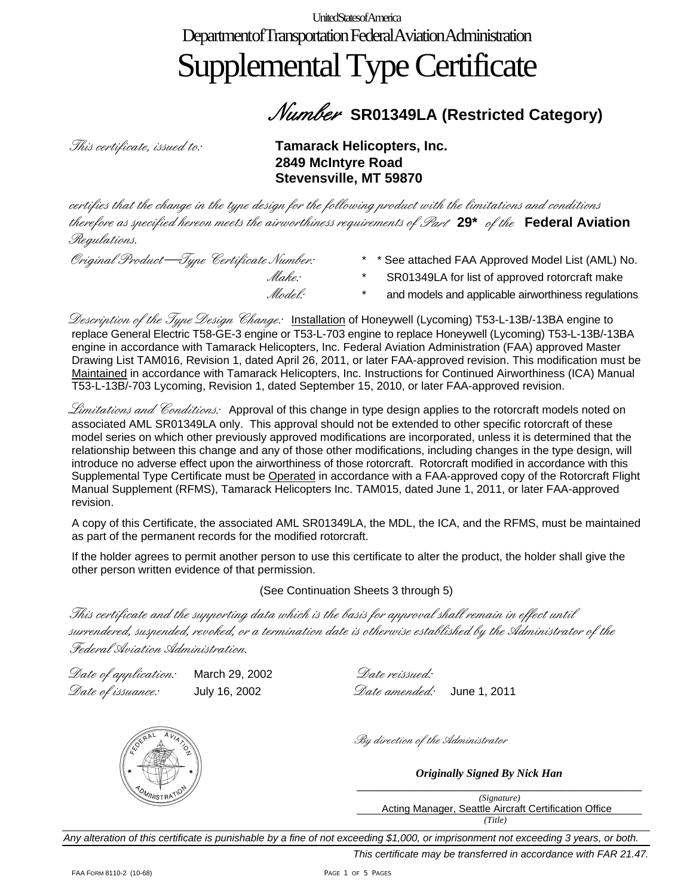UnitedStatesofAmerica Department of Transportation Federal Aviation Administration

# Supplemental Type Certificate

### Number **SR01349LA (Restricted Category)**

*This certificate, issued to:* Tamarack Helicopters, Inc. **2849 McIntyre Road Stevensville, MT 59870** 

certifies that the change in the type design for the following product with the limitations and conditions therefore as specified hereon meets the airworthiness requirements of Part **29\*** of the **Federal Aviation**  Regulations.

Original Product—Type Certificate Number: \* \* See attached FAA Approved Model List (AML) No. *Make*: \* SR01349LA for list of approved rotorcraft make *flodel:* \* and models and applicable airworthiness regulations

Description of the Type Design Change: Installation of Honeywell (Lycoming) T53-L-13B/-13BA engine to replace General Electric T58-GE-3 engine or T53-L-703 engine to replace Honeywell (Lycoming) T53-L-13B/-13BA engine in accordance with Tamarack Helicopters, Inc. Federal Aviation Administration (FAA) approved Master Drawing List TAM016, Revision 1, dated April 26, 2011, or later FAA-approved revision. This modification must be Maintained in accordance with Tamarack Helicopters, Inc. Instructions for Continued Airworthiness (ICA) Manual T53-L-13B/-703 Lycoming, Revision 1, dated September 15, 2010, or later FAA-approved revision.

Limitations and Conditions: Approval of this change in type design applies to the rotorcraft models noted on associated AML SR01349LA only. This approval should not be extended to other specific rotorcraft of these model series on which other previously approved modifications are incorporated, unless it is determined that the relationship between this change and any of those other modifications, including changes in the type design, will introduce no adverse effect upon the airworthiness of those rotorcraft. Rotorcraft modified in accordance with this Supplemental Type Certificate must be Operated in accordance with a FAA-approved copy of the Rotorcraft Flight Manual Supplement (RFMS), Tamarack Helicopters Inc. TAM015, dated June 1, 2011, or later FAA-approved revision.

A copy of this Certificate, the associated AML SR01349LA, the MDL, the ICA, and the RFMS, must be maintained as part of the permanent records for the modified rotorcraft.

If the holder agrees to permit another person to use this certificate to alter the product, the holder shall give the other person written evidence of that permission.

(See Continuation Sheets 3 through 5)

This certificate and the supporting data which is the basis for approval shall remain in effect until surrendered, suspended, revoked, or a termination date is otherwise established by the Administrator of the Federal Aviation Administration.

Date of application: March 29, 2002 Date reissued: Date of issuance: July 16, 2002 Date amended: June 1, 2011



By direction of the Administrator

\_\_\_\_\_\_\_\_\_\_\_\_\_\_\_\_\_\_\_\_\_\_\_\_\_\_\_\_\_\_\_\_\_\_\_\_\_\_\_\_\_\_ *Originally Signed By Nick Han*

*(Signature)*  Acting Manager, Seattle Aircraft Certification Office  *(Title)* 

*Any alteration of this certificate is punishable by a fine of not exceeding \$1,000, or imprisonment not exceeding 3 years, or both.*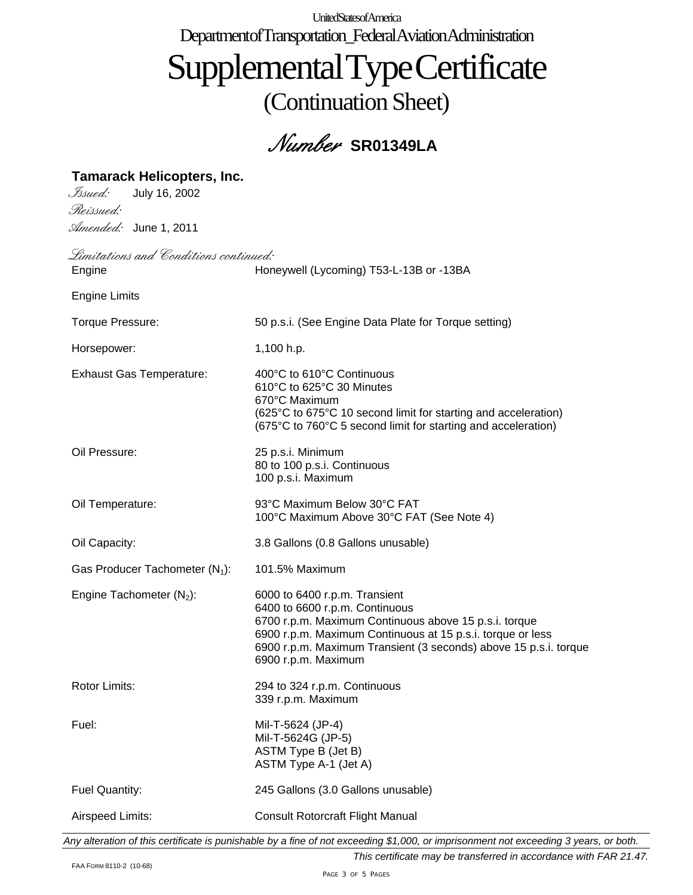UnitedStatesofAmerica Department of Transportation\_FederalAviationAdministration

### SupplementalTypeCertificate (Continuation Sheet)

Number **SR01349LA**

| <b>Tamarack Helicopters, Inc.</b>     |                                                                                                                                                                                                                                                                                   |
|---------------------------------------|-----------------------------------------------------------------------------------------------------------------------------------------------------------------------------------------------------------------------------------------------------------------------------------|
| Issued:<br>July 16, 2002              |                                                                                                                                                                                                                                                                                   |
| Reissued:                             |                                                                                                                                                                                                                                                                                   |
| Amended: June 1, 2011                 |                                                                                                                                                                                                                                                                                   |
| Limitations and Conditions continued: |                                                                                                                                                                                                                                                                                   |
| Engine                                | Honeywell (Lycoming) T53-L-13B or -13BA                                                                                                                                                                                                                                           |
| <b>Engine Limits</b>                  |                                                                                                                                                                                                                                                                                   |
| Torque Pressure:                      | 50 p.s.i. (See Engine Data Plate for Torque setting)                                                                                                                                                                                                                              |
| Horsepower:                           | 1,100 h.p.                                                                                                                                                                                                                                                                        |
| <b>Exhaust Gas Temperature:</b>       | 400°C to 610°C Continuous<br>610°C to 625°C 30 Minutes<br>670°C Maximum<br>(625°C to 675°C 10 second limit for starting and acceleration)<br>(675°C to 760°C 5 second limit for starting and acceleration)                                                                        |
| Oil Pressure:                         | 25 p.s.i. Minimum<br>80 to 100 p.s.i. Continuous<br>100 p.s.i. Maximum                                                                                                                                                                                                            |
| Oil Temperature:                      | 93°C Maximum Below 30°C FAT<br>100°C Maximum Above 30°C FAT (See Note 4)                                                                                                                                                                                                          |
| Oil Capacity:                         | 3.8 Gallons (0.8 Gallons unusable)                                                                                                                                                                                                                                                |
| Gas Producer Tachometer $(N_1)$ :     | 101.5% Maximum                                                                                                                                                                                                                                                                    |
| Engine Tachometer $(N_2)$ :           | 6000 to 6400 r.p.m. Transient<br>6400 to 6600 r.p.m. Continuous<br>6700 r.p.m. Maximum Continuous above 15 p.s.i. torque<br>6900 r.p.m. Maximum Continuous at 15 p.s.i. torque or less<br>6900 r.p.m. Maximum Transient (3 seconds) above 15 p.s.i. torque<br>6900 r.p.m. Maximum |
| Rotor Limits:                         | 294 to 324 r.p.m. Continuous<br>339 r.p.m. Maximum                                                                                                                                                                                                                                |
| Fuel:                                 | Mil-T-5624 (JP-4)<br>Mil-T-5624G (JP-5)<br>ASTM Type B (Jet B)<br>ASTM Type A-1 (Jet A)                                                                                                                                                                                           |
|                                       |                                                                                                                                                                                                                                                                                   |
| Fuel Quantity:                        | 245 Gallons (3.0 Gallons unusable)                                                                                                                                                                                                                                                |

*Any alteration of this certificate is punishable by a fine of not exceeding \$1,000, or imprisonment not exceeding 3 years, or both.*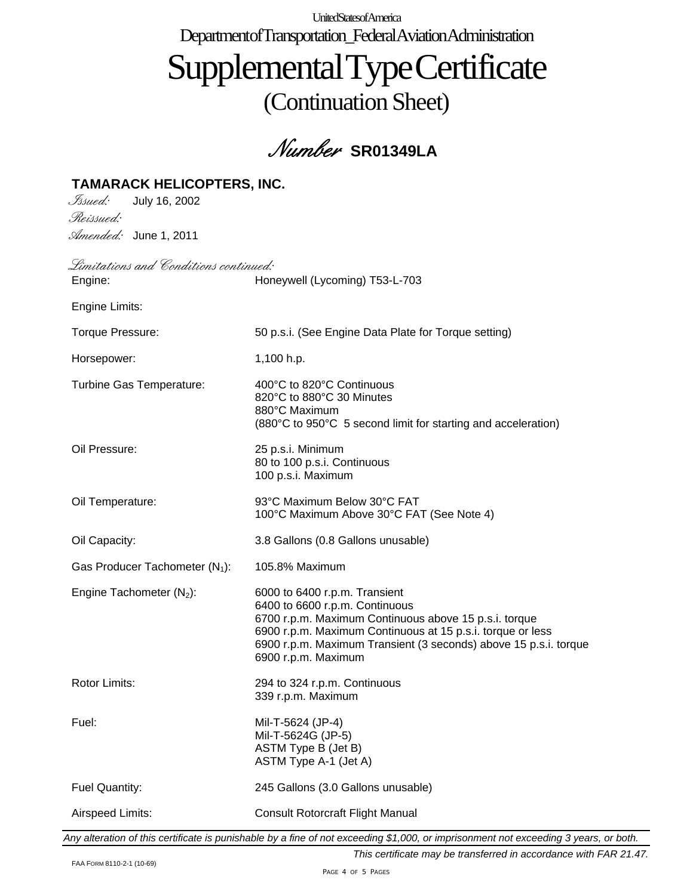UnitedStatesofAmerica Department of Transportation\_Federal Aviation Administration

# SupplementalTypeCertificate (Continuation Sheet)

### Number **SR01349LA**

#### **TAMARACK HELICOPTERS, INC.**

Issued: July 16, 2002 Reissued: Amended: June 1, 2011

Limitations and Conditions continued: Engine: Honeywell (Lycoming) T53-L-703 Engine Limits: Torque Pressure: 50 p.s.i. (See Engine Data Plate for Torque setting) Horsepower: 1,100 h.p. Turbine Gas Temperature: 400°C to 820°C Continuous 820°C to 880°C 30 Minutes 880°C Maximum (880°C to 950°C 5 second limit for starting and acceleration) Oil Pressure: 25 p.s.i. Minimum 80 to 100 p.s.i. Continuous 100 p.s.i. Maximum Oil Temperature: 93°C Maximum Below 30°C FAT 100°C Maximum Above 30°C FAT (See Note 4) Oil Capacity: 3.8 Gallons (0.8 Gallons unusable) Gas Producer Tachometer  $(N_1)$ : 105.8% Maximum Engine Tachometer  $(N_2)$ : 6000 to 6400 r.p.m. Transient 6400 to 6600 r.p.m. Continuous 6700 r.p.m. Maximum Continuous above 15 p.s.i. torque 6900 r.p.m. Maximum Continuous at 15 p.s.i. torque or less 6900 r.p.m. Maximum Transient (3 seconds) above 15 p.s.i. torque 6900 r.p.m. Maximum Rotor Limits: 294 to 324 r.p.m. Continuous 339 r.p.m. Maximum Fuel: Mil-T-5624 (JP-4) Mil-T-5624G (JP-5) ASTM Type B (Jet B) ASTM Type A-1 (Jet A) Fuel Quantity: 245 Gallons (3.0 Gallons unusable) Airspeed Limits: Consult Rotorcraft Flight Manual